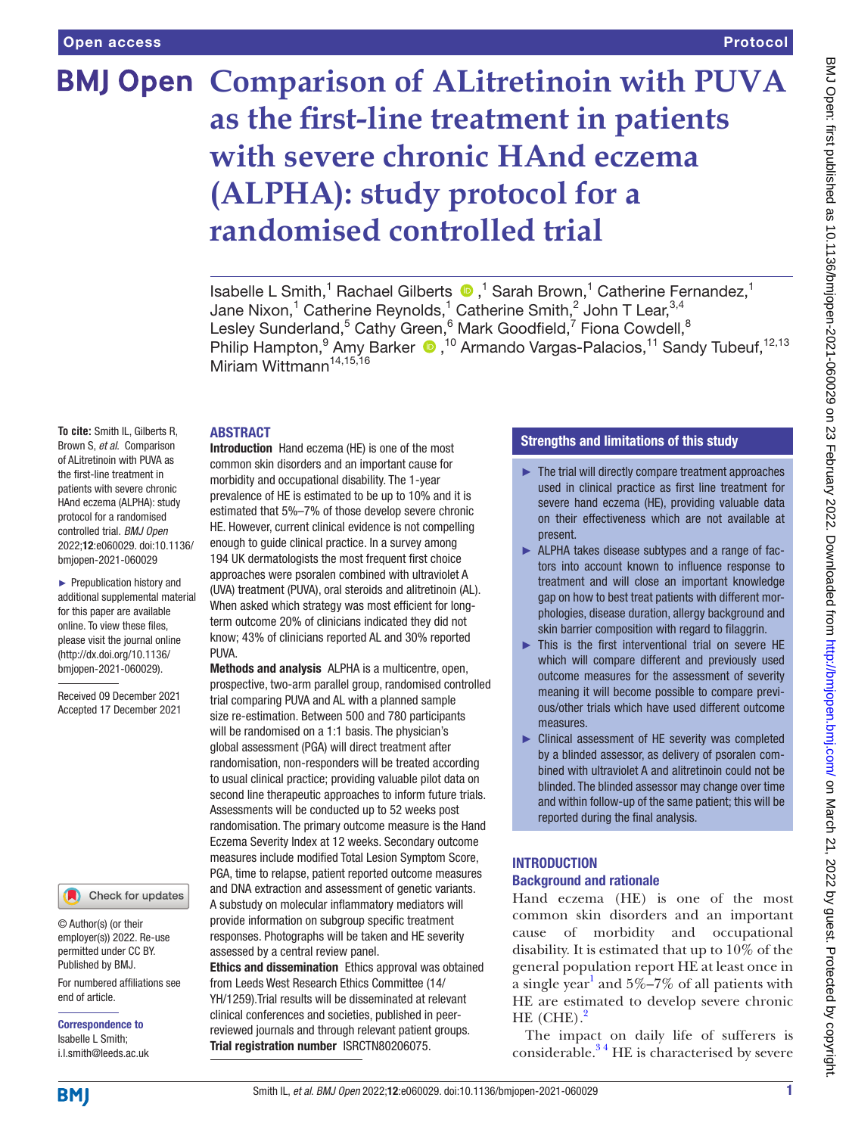# **BMJ Open Comparison of ALitretinoin with PUVA as the first-line treatment in patients with severe chronic HAnd eczema (ALPHA): study protocol for a randomised controlled trial**

IsabelleL Smith,<sup>1</sup> Rachael Gilberts  $\bullet$ ,<sup>1</sup> Sarah Brown,<sup>1</sup> Catherine Fernandez,<sup>1</sup> Jane Nixon, $^1$  Catherine Reynolds, $^1$  Catherine Smith, $^2$  John T Lear, $^{3,4}$ Lesley Sunderland,<sup>5</sup> Cathy Green,<sup>6</sup> Mark Goodfield,<sup>7</sup> Fiona Cowdell,<sup>8</sup> PhilipHampton,<sup>9</sup> Amy Barker (D,<sup>10</sup> Armando Vargas-Palacios,<sup>11</sup> Sandy Tubeuf,<sup>12,13</sup> Miriam Wittmann<sup>14,15,16</sup>

#### ABSTRACT

**To cite:** Smith IL, Gilberts R, Brown S, *et al*. Comparison of ALitretinoin with PUVA as the first-line treatment in patients with severe chronic HAnd eczema (ALPHA): study protocol for a randomised controlled trial. *BMJ Open* 2022;12:e060029. doi:10.1136/ bmjopen-2021-060029

► Prepublication history and additional supplemental material for this paper are available online. To view these files, please visit the journal online [\(http://dx.doi.org/10.1136/](http://dx.doi.org/10.1136/bmjopen-2021-060029) [bmjopen-2021-060029](http://dx.doi.org/10.1136/bmjopen-2021-060029)).

Received 09 December 2021 Accepted 17 December 2021

#### Check for updates

© Author(s) (or their employer(s)) 2022. Re-use permitted under CC BY. Published by BMJ.

For numbered affiliations see end of article.

Correspondence to Isabelle L Smith; i.l.smith@leeds.ac.uk

Introduction Hand eczema (HE) is one of the most common skin disorders and an important cause for morbidity and occupational disability. The 1-year prevalence of HE is estimated to be up to 10% and it is estimated that 5%–7% of those develop severe chronic HE. However, current clinical evidence is not compelling enough to guide clinical practice. In a survey among 194 UK dermatologists the most frequent first choice approaches were psoralen combined with ultraviolet A (UVA) treatment (PUVA), oral steroids and alitretinoin (AL). When asked which strategy was most efficient for longterm outcome 20% of clinicians indicated they did not know; 43% of clinicians reported AL and 30% reported PUVA.

Methods and analysis ALPHA is a multicentre, open, prospective, two-arm parallel group, randomised controlled trial comparing PUVA and AL with a planned sample size re-estimation. Between 500 and 780 participants will be randomised on a 1:1 basis. The physician's global assessment (PGA) will direct treatment after randomisation, non-responders will be treated according to usual clinical practice; providing valuable pilot data on second line therapeutic approaches to inform future trials. Assessments will be conducted up to 52 weeks post randomisation. The primary outcome measure is the Hand Eczema Severity Index at 12 weeks. Secondary outcome measures include modified Total Lesion Symptom Score, PGA, time to relapse, patient reported outcome measures and DNA extraction and assessment of genetic variants. A substudy on molecular inflammatory mediators will provide information on subgroup specific treatment responses. Photographs will be taken and HE severity assessed by a central review panel.

Ethics and dissemination Ethics approval was obtained from Leeds West Research Ethics Committee (14/ YH/1259).Trial results will be disseminated at relevant clinical conferences and societies, published in peerreviewed journals and through relevant patient groups. Trial registration number <ISRCTN80206075>.

# Strengths and limitations of this study

- ► The trial will directly compare treatment approaches used in clinical practice as first line treatment for severe hand eczema (HE), providing valuable data on their effectiveness which are not available at present.
- ► ALPHA takes disease subtypes and a range of factors into account known to influence response to treatment and will close an important knowledge gap on how to best treat patients with different morphologies, disease duration, allergy background and skin barrier composition with regard to filaggrin.
- ► This is the first interventional trial on severe HE which will compare different and previously used outcome measures for the assessment of severity meaning it will become possible to compare previous/other trials which have used different outcome measures.
- ► Clinical assessment of HE severity was completed by a blinded assessor, as delivery of psoralen combined with ultraviolet A and alitretinoin could not be blinded. The blinded assessor may change over time and within follow-up of the same patient; this will be reported during the final analysis.

# **INTRODUCTION** Background and rationale

Hand eczema (HE) is one of the most common skin disorders and an important cause of morbidity and occupational disability. It is estimated that up to 10% of the general population report HE at least once in a single year<sup>1</sup> and  $5\% - 7\%$  of all patients with HE are estimated to develop severe chronic HE  $(CHE)$ .<sup>[2](#page-7-1)</sup>

The impact on daily life of sufferers is considerable. $34$  HE is characterised by severe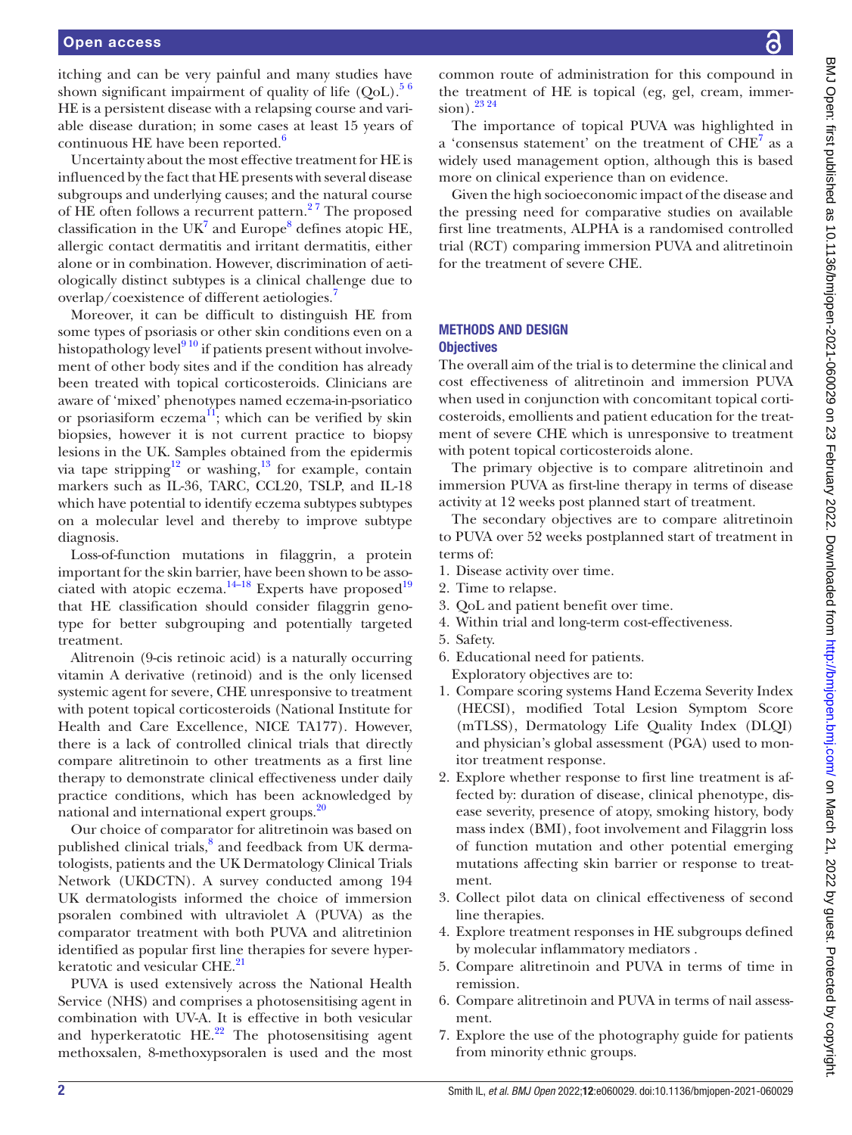#### Open access

itching and can be very painful and many studies have shown significant impairment of quality of life  $(QoL)$ .<sup>56</sup> HE is a persistent disease with a relapsing course and variable disease duration; in some cases at least 15 years of continuous HE have been reported. $6$ 

Uncertainty about the most effective treatment for HE is influenced by the fact that HE presents with several disease subgroups and underlying causes; and the natural course of HE often follows a recurrent pattern. $27$  The proposed classification in the UK<sup>[7](#page-7-5)</sup> and Europe<sup>[8](#page-7-6)</sup> defines atopic HE, allergic contact dermatitis and irritant dermatitis, either alone or in combination. However, discrimination of aetiologically distinct subtypes is a clinical challenge due to overlap/coexistence of different aetiologies.<sup>[7](#page-7-5)</sup>

Moreover, it can be difficult to distinguish HE from some types of psoriasis or other skin conditions even on a histopathology level<sup>910</sup> if patients present without involvement of other body sites and if the condition has already been treated with topical corticosteroids. Clinicians are aware of 'mixed' phenotypes named eczema-in-psoriatico or psoriasiform eczema $^{11}$ ; which can be verified by skin biopsies, however it is not current practice to biopsy lesions in the UK. Samples obtained from the epidermis via tape stripping<sup>12</sup> or washing,<sup>13</sup> for example, contain markers such as IL-36, TARC, CCL20, TSLP, and IL-18 which have potential to identify eczema subtypes subtypes on a molecular level and thereby to improve subtype diagnosis.

Loss-of-function mutations in filaggrin, a protein important for the skin barrier, have been shown to be associated with atopic eczema. $14-18$  Experts have proposed<sup>19</sup> that HE classification should consider filaggrin genotype for better subgrouping and potentially targeted treatment.

Alitrenoin (9-cis retinoic acid) is a naturally occurring vitamin A derivative (retinoid) and is the only licensed systemic agent for severe, CHE unresponsive to treatment with potent topical corticosteroids (National Institute for Health and Care Excellence, NICE TA177). However, there is a lack of controlled clinical trials that directly compare alitretinoin to other treatments as a first line therapy to demonstrate clinical effectiveness under daily practice conditions, which has been acknowledged by national and international expert groups.<sup>20</sup>

Our choice of comparator for alitretinoin was based on published clinical trials,<sup>[8](#page-7-6)</sup> and feedback from UK dermatologists, patients and the UK Dermatology Clinical Trials Network (UKDCTN). A survey conducted among 194 UK dermatologists informed the choice of immersion psoralen combined with ultraviolet A (PUVA) as the comparator treatment with both PUVA and alitretinion identified as popular first line therapies for severe hyper-keratotic and vesicular CHE.<sup>[21](#page-8-3)</sup>

PUVA is used extensively across the National Health Service (NHS) and comprises a photosensitising agent in combination with UV-A. It is effective in both vesicular and hyperkeratotic  $HE<sup>22</sup>$  The photosensitising agent methoxsalen, 8-methoxypsoralen is used and the most

BMJ Open: first published as 10.1136/bmjopen-2021-060029 on 23 February 2022. Downloaded from http://bmjopen.bmj.com/ on March 21, 2022 by guest. Protected by copyright BMJ Open: first published as 10.1136/bmjopen-2021-060029 on 23 February 2022. Downloaded from <http://bmjopen.bmj.com/> on March 21, 2022 by guest. Protected by copyright.

common route of administration for this compound in the treatment of HE is topical (eg, gel, cream, immersion).<sup>23</sup> <sup>24</sup>

The importance of topical PUVA was highlighted in a 'consensus statement' on the treatment of CHE<sup>7</sup> as a widely used management option, although this is based more on clinical experience than on evidence.

Given the high socioeconomic impact of the disease and the pressing need for comparative studies on available first line treatments, ALPHA is a randomised controlled trial (RCT) comparing immersion PUVA and alitretinoin for the treatment of severe CHE.

#### METHODS AND DESIGN **Objectives**

The overall aim of the trial is to determine the clinical and cost effectiveness of alitretinoin and immersion PUVA when used in conjunction with concomitant topical corticosteroids, emollients and patient education for the treatment of severe CHE which is unresponsive to treatment with potent topical corticosteroids alone.

The primary objective is to compare alitretinoin and immersion PUVA as first-line therapy in terms of disease activity at 12 weeks post planned start of treatment.

The secondary objectives are to compare alitretinoin to PUVA over 52 weeks postplanned start of treatment in terms of:

- 1. Disease activity over time.
- 2. Time to relapse.
- 3. QoL and patient benefit over time.
- 4. Within trial and long-term cost-effectiveness.
- 5. Safety.
- 6. Educational need for patients. Exploratory objectives are to:
- 1. Compare scoring systems Hand Eczema Severity Index (HECSI), modified Total Lesion Symptom Score (mTLSS), Dermatology Life Quality Index (DLQI) and physician's global assessment (PGA) used to monitor treatment response.
- 2. Explore whether response to first line treatment is affected by: duration of disease, clinical phenotype, disease severity, presence of atopy, smoking history, body mass index (BMI), foot involvement and Filaggrin loss of function mutation and other potential emerging mutations affecting skin barrier or response to treatment.
- 3. Collect pilot data on clinical effectiveness of second line therapies.
- 4. Explore treatment responses in HE subgroups defined by molecular inflammatory mediators .
- 5. Compare alitretinoin and PUVA in terms of time in remission.
- 6. Compare alitretinoin and PUVA in terms of nail assessment.
- 7. Explore the use of the photography guide for patients from minority ethnic groups.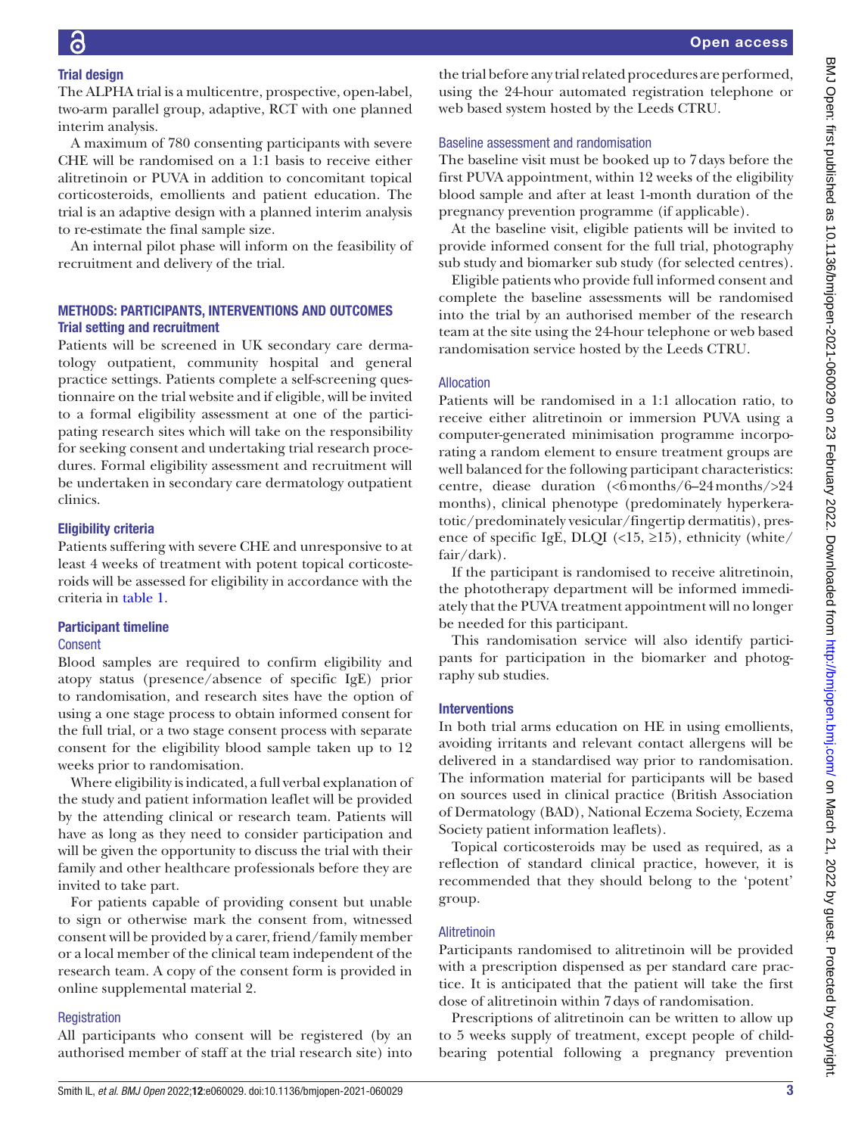# Trial design

The ALPHA trial is a multicentre, prospective, open-label, two-arm parallel group, adaptive, RCT with one planned interim analysis.

A maximum of 780 consenting participants with severe CHE will be randomised on a 1:1 basis to receive either alitretinoin or PUVA in addition to concomitant topical corticosteroids, emollients and patient education. The trial is an adaptive design with a planned interim analysis to re-estimate the final sample size.

An internal pilot phase will inform on the feasibility of recruitment and delivery of the trial.

# METHODS: PARTICIPANTS, INTERVENTIONS AND OUTCOMES Trial setting and recruitment

Patients will be screened in UK secondary care dermatology outpatient, community hospital and general practice settings. Patients complete a self-screening questionnaire on the trial website and if eligible, will be invited to a formal eligibility assessment at one of the participating research sites which will take on the responsibility for seeking consent and undertaking trial research procedures. Formal eligibility assessment and recruitment will be undertaken in secondary care dermatology outpatient clinics.

#### Eligibility criteria

Patients suffering with severe CHE and unresponsive to at least 4 weeks of treatment with potent topical corticosteroids will be assessed for eligibility in accordance with the criteria in [table](#page-3-0) 1.

# Participant timeline

#### Consent

Blood samples are required to confirm eligibility and atopy status (presence/absence of specific IgE) prior to randomisation, and research sites have the option of using a one stage process to obtain informed consent for the full trial, or a two stage consent process with separate consent for the eligibility blood sample taken up to 12 weeks prior to randomisation.

Where eligibility is indicated, a full verbal explanation of the study and patient information leaflet will be provided by the attending clinical or research team. Patients will have as long as they need to consider participation and will be given the opportunity to discuss the trial with their family and other healthcare professionals before they are invited to take part.

For patients capable of providing consent but unable to sign or otherwise mark the consent from, witnessed consent will be provided by a carer, friend/family member or a local member of the clinical team independent of the research team. A copy of the consent form is provided in [online supplemental material 2.](https://dx.doi.org/10.1136/bmjopen-2021-060029)

# **Registration**

All participants who consent will be registered (by an authorised member of staff at the trial research site) into

the trial before any trial related procedures are performed, using the 24-hour automated registration telephone or web based system hosted by the Leeds CTRU.

#### Baseline assessment and randomisation

The baseline visit must be booked up to 7days before the first PUVA appointment, within 12 weeks of the eligibility blood sample and after at least 1-month duration of the pregnancy prevention programme (if applicable).

At the baseline visit, eligible patients will be invited to provide informed consent for the full trial, photography sub study and biomarker sub study (for selected centres).

Eligible patients who provide full informed consent and complete the baseline assessments will be randomised into the trial by an authorised member of the research team at the site using the 24-hour telephone or web based randomisation service hosted by the Leeds CTRU.

# Allocation

Patients will be randomised in a 1:1 allocation ratio, to receive either alitretinoin or immersion PUVA using a computer-generated minimisation programme incorporating a random element to ensure treatment groups are well balanced for the following participant characteristics: centre, diease duration (<6months/6–24months/>24 months), clinical phenotype (predominately hyperkeratotic/predominately vesicular/fingertip dermatitis), presence of specific IgE, DLQI (<15, ≥15), ethnicity (white/ fair/dark).

If the participant is randomised to receive alitretinoin, the phototherapy department will be informed immediately that the PUVA treatment appointment will no longer be needed for this participant.

This randomisation service will also identify participants for participation in the biomarker and photography sub studies.

# Interventions

In both trial arms education on HE in using emollients, avoiding irritants and relevant contact allergens will be delivered in a standardised way prior to randomisation. The information material for participants will be based on sources used in clinical practice (British Association of Dermatology (BAD), National Eczema Society, Eczema Society patient information leaflets).

Topical corticosteroids may be used as required, as a reflection of standard clinical practice, however, it is recommended that they should belong to the 'potent' group.

# Alitretinoin

Participants randomised to alitretinoin will be provided with a prescription dispensed as per standard care practice. It is anticipated that the patient will take the first dose of alitretinoin within 7days of randomisation.

Prescriptions of alitretinoin can be written to allow up to 5 weeks supply of treatment, except people of childbearing potential following a pregnancy prevention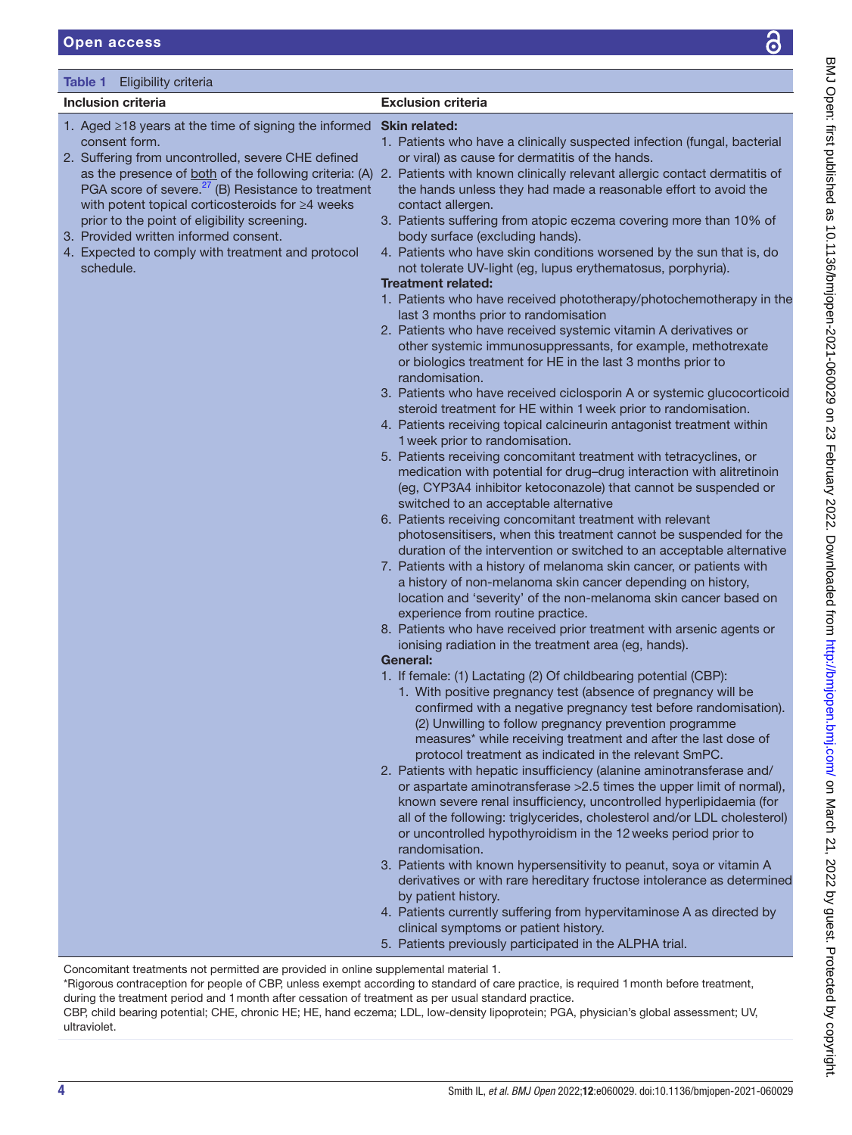<span id="page-3-0"></span>

| Table 1<br>Eligibility criteria                                                                                                                                                                                                                                                                                                                                                                                                                          |                                                                                                                                                                                                                                                                                                                                                                                                                                                                                                                                                                                                                                                                                                                                                                                                                                                                                                                                                                                                                                                                                                                                                                                                                                                                                                                                                                                                                                                                                                                                                                                                                                                                                                                                                                                                                                                                                                                                                                                                                                                                                                                                                                                                                                                                                                                                                                                                                                                                                                                                                                                                                                                                                                                                                                                                                                                                                                                      |
|----------------------------------------------------------------------------------------------------------------------------------------------------------------------------------------------------------------------------------------------------------------------------------------------------------------------------------------------------------------------------------------------------------------------------------------------------------|----------------------------------------------------------------------------------------------------------------------------------------------------------------------------------------------------------------------------------------------------------------------------------------------------------------------------------------------------------------------------------------------------------------------------------------------------------------------------------------------------------------------------------------------------------------------------------------------------------------------------------------------------------------------------------------------------------------------------------------------------------------------------------------------------------------------------------------------------------------------------------------------------------------------------------------------------------------------------------------------------------------------------------------------------------------------------------------------------------------------------------------------------------------------------------------------------------------------------------------------------------------------------------------------------------------------------------------------------------------------------------------------------------------------------------------------------------------------------------------------------------------------------------------------------------------------------------------------------------------------------------------------------------------------------------------------------------------------------------------------------------------------------------------------------------------------------------------------------------------------------------------------------------------------------------------------------------------------------------------------------------------------------------------------------------------------------------------------------------------------------------------------------------------------------------------------------------------------------------------------------------------------------------------------------------------------------------------------------------------------------------------------------------------------------------------------------------------------------------------------------------------------------------------------------------------------------------------------------------------------------------------------------------------------------------------------------------------------------------------------------------------------------------------------------------------------------------------------------------------------------------------------------------------------|
|                                                                                                                                                                                                                                                                                                                                                                                                                                                          |                                                                                                                                                                                                                                                                                                                                                                                                                                                                                                                                                                                                                                                                                                                                                                                                                                                                                                                                                                                                                                                                                                                                                                                                                                                                                                                                                                                                                                                                                                                                                                                                                                                                                                                                                                                                                                                                                                                                                                                                                                                                                                                                                                                                                                                                                                                                                                                                                                                                                                                                                                                                                                                                                                                                                                                                                                                                                                                      |
|                                                                                                                                                                                                                                                                                                                                                                                                                                                          |                                                                                                                                                                                                                                                                                                                                                                                                                                                                                                                                                                                                                                                                                                                                                                                                                                                                                                                                                                                                                                                                                                                                                                                                                                                                                                                                                                                                                                                                                                                                                                                                                                                                                                                                                                                                                                                                                                                                                                                                                                                                                                                                                                                                                                                                                                                                                                                                                                                                                                                                                                                                                                                                                                                                                                                                                                                                                                                      |
| <b>Inclusion criteria</b><br>1. Aged ≥18 years at the time of signing the informed Skin related:<br>consent form.<br>2. Suffering from uncontrolled, severe CHE defined<br>PGA score of severe. <sup>27</sup> (B) Resistance to treatment<br>with potent topical corticosteroids for ≥4 weeks<br>prior to the point of eligibility screening.<br>3. Provided written informed consent.<br>4. Expected to comply with treatment and protocol<br>schedule. | <b>Exclusion criteria</b><br>1. Patients who have a clinically suspected infection (fungal, bacterial<br>or viral) as cause for dermatitis of the hands.<br>as the presence of both of the following criteria: (A) 2. Patients with known clinically relevant allergic contact dermatitis of<br>the hands unless they had made a reasonable effort to avoid the<br>contact allergen.<br>3. Patients suffering from atopic eczema covering more than 10% of<br>body surface (excluding hands).<br>4. Patients who have skin conditions worsened by the sun that is, do<br>not tolerate UV-light (eg, lupus erythematosus, porphyria).<br><b>Treatment related:</b><br>1. Patients who have received phototherapy/photochemotherapy in the<br>last 3 months prior to randomisation<br>2. Patients who have received systemic vitamin A derivatives or<br>other systemic immunosuppressants, for example, methotrexate<br>or biologics treatment for HE in the last 3 months prior to<br>randomisation.<br>3. Patients who have received ciclosporin A or systemic glucocorticoid<br>steroid treatment for HE within 1 week prior to randomisation.<br>4. Patients receiving topical calcineurin antagonist treatment within<br>1 week prior to randomisation.<br>5. Patients receiving concomitant treatment with tetracyclines, or<br>medication with potential for drug-drug interaction with alitretinoin<br>(eg, CYP3A4 inhibitor ketoconazole) that cannot be suspended or<br>switched to an acceptable alternative<br>6. Patients receiving concomitant treatment with relevant<br>photosensitisers, when this treatment cannot be suspended for the<br>duration of the intervention or switched to an acceptable alternative<br>7. Patients with a history of melanoma skin cancer, or patients with<br>a history of non-melanoma skin cancer depending on history,<br>location and 'severity' of the non-melanoma skin cancer based on<br>experience from routine practice.<br>8. Patients who have received prior treatment with arsenic agents or<br>ionising radiation in the treatment area (eg, hands).<br>General:<br>1. If female: (1) Lactating (2) Of childbearing potential (CBP):<br>1. With positive pregnancy test (absence of pregnancy will be<br>confirmed with a negative pregnancy test before randomisation).<br>(2) Unwilling to follow pregnancy prevention programme<br>measures* while receiving treatment and after the last dose of<br>protocol treatment as indicated in the relevant SmPC.<br>2. Patients with hepatic insufficiency (alanine aminotransferase and/<br>or aspartate aminotransferase > 2.5 times the upper limit of normal),<br>known severe renal insufficiency, uncontrolled hyperlipidaemia (for<br>all of the following: triglycerides, cholesterol and/or LDL cholesterol)<br>or uncontrolled hypothyroidism in the 12 weeks period prior to<br>randomisation. |
|                                                                                                                                                                                                                                                                                                                                                                                                                                                          | 3. Patients with known hypersensitivity to peanut, soya or vitamin A                                                                                                                                                                                                                                                                                                                                                                                                                                                                                                                                                                                                                                                                                                                                                                                                                                                                                                                                                                                                                                                                                                                                                                                                                                                                                                                                                                                                                                                                                                                                                                                                                                                                                                                                                                                                                                                                                                                                                                                                                                                                                                                                                                                                                                                                                                                                                                                                                                                                                                                                                                                                                                                                                                                                                                                                                                                 |
|                                                                                                                                                                                                                                                                                                                                                                                                                                                          | derivatives or with rare hereditary fructose intolerance as determined<br>by patient history.                                                                                                                                                                                                                                                                                                                                                                                                                                                                                                                                                                                                                                                                                                                                                                                                                                                                                                                                                                                                                                                                                                                                                                                                                                                                                                                                                                                                                                                                                                                                                                                                                                                                                                                                                                                                                                                                                                                                                                                                                                                                                                                                                                                                                                                                                                                                                                                                                                                                                                                                                                                                                                                                                                                                                                                                                        |
|                                                                                                                                                                                                                                                                                                                                                                                                                                                          | 4. Patients currently suffering from hypervitaminose A as directed by                                                                                                                                                                                                                                                                                                                                                                                                                                                                                                                                                                                                                                                                                                                                                                                                                                                                                                                                                                                                                                                                                                                                                                                                                                                                                                                                                                                                                                                                                                                                                                                                                                                                                                                                                                                                                                                                                                                                                                                                                                                                                                                                                                                                                                                                                                                                                                                                                                                                                                                                                                                                                                                                                                                                                                                                                                                |

Concomitant treatments not permitted are provided in [online supplemental material 1](https://dx.doi.org/10.1136/bmjopen-2021-060029).

\*Rigorous contraception for people of CBP, unless exempt according to standard of care practice, is required 1month before treatment, during the treatment period and 1month after cessation of treatment as per usual standard practice.

clinical symptoms or patient history.

5. Patients previously participated in the ALPHA trial.

CBP, child bearing potential; CHE, chronic HE; HE, hand eczema; LDL, low-density lipoprotein; PGA, physician's global assessment; UV, ultraviolet.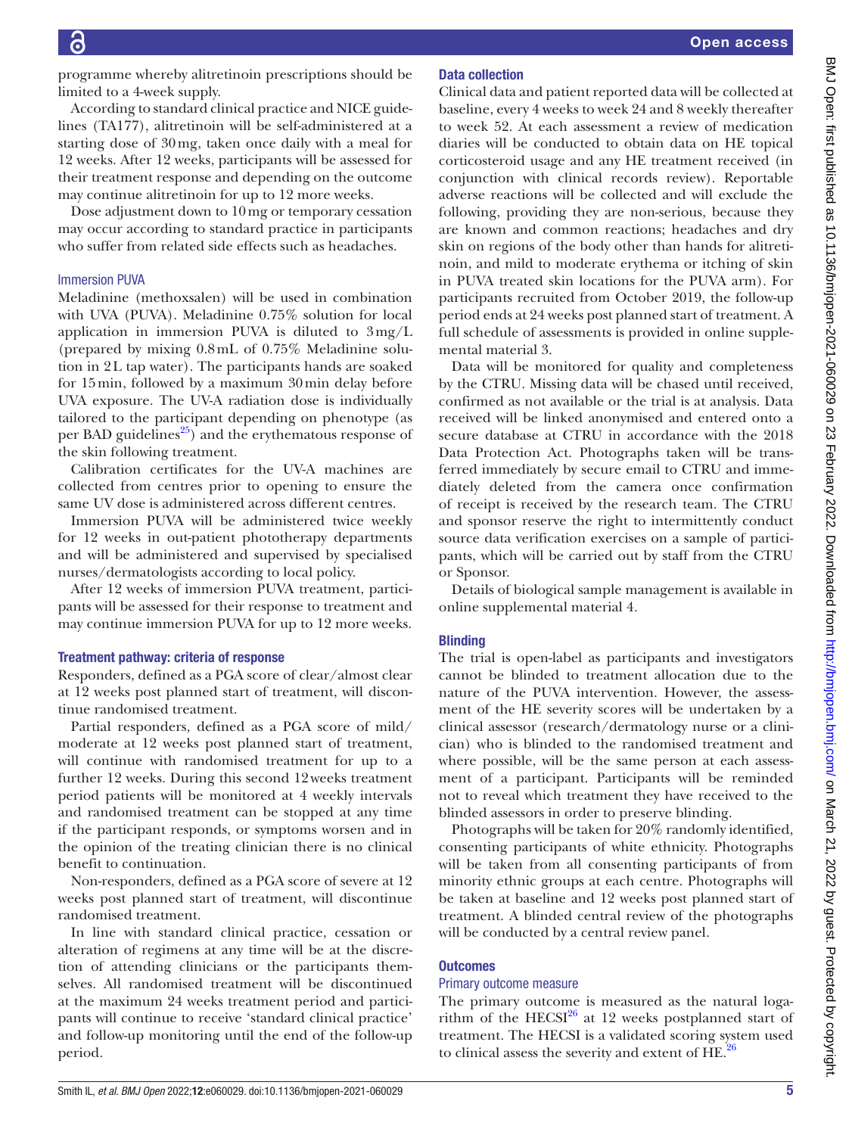programme whereby alitretinoin prescriptions should be limited to a 4-week supply.

According to standard clinical practice and NICE guidelines (TA177), alitretinoin will be self-administered at a starting dose of 30mg, taken once daily with a meal for 12 weeks. After 12 weeks, participants will be assessed for their treatment response and depending on the outcome may continue alitretinoin for up to 12 more weeks.

Dose adjustment down to 10mg or temporary cessation may occur according to standard practice in participants who suffer from related side effects such as headaches.

#### Immersion PUVA

Meladinine (methoxsalen) will be used in combination with UVA (PUVA). Meladinine 0.75% solution for local application in immersion PUVA is diluted to 3mg/L (prepared by mixing 0.8mL of 0.75% Meladinine solution in 2L tap water). The participants hands are soaked for 15min, followed by a maximum 30min delay before UVA exposure. The UV-A radiation dose is individually tailored to the participant depending on phenotype (as per BAD guidelines $^{25}$ ) and the erythematous response of the skin following treatment.

Calibration certificates for the UV-A machines are collected from centres prior to opening to ensure the same UV dose is administered across different centres.

Immersion PUVA will be administered twice weekly for 12 weeks in out-patient phototherapy departments and will be administered and supervised by specialised nurses/dermatologists according to local policy.

After 12 weeks of immersion PUVA treatment, participants will be assessed for their response to treatment and may continue immersion PUVA for up to 12 more weeks.

#### Treatment pathway: criteria of response

Responders, defined as a PGA score of clear/almost clear at 12 weeks post planned start of treatment, will discontinue randomised treatment.

Partial responders, defined as a PGA score of mild/ moderate at 12 weeks post planned start of treatment, will continue with randomised treatment for up to a further 12 weeks. During this second 12weeks treatment period patients will be monitored at 4 weekly intervals and randomised treatment can be stopped at any time if the participant responds, or symptoms worsen and in the opinion of the treating clinician there is no clinical benefit to continuation.

Non-responders, defined as a PGA score of severe at 12 weeks post planned start of treatment, will discontinue randomised treatment.

In line with standard clinical practice, cessation or alteration of regimens at any time will be at the discretion of attending clinicians or the participants themselves. All randomised treatment will be discontinued at the maximum 24 weeks treatment period and participants will continue to receive 'standard clinical practice' and follow-up monitoring until the end of the follow-up period.

#### Data collection

Clinical data and patient reported data will be collected at baseline, every 4 weeks to week 24 and 8 weekly thereafter to week 52. At each assessment a review of medication diaries will be conducted to obtain data on HE topical corticosteroid usage and any HE treatment received (in conjunction with clinical records review). Reportable adverse reactions will be collected and will exclude the following, providing they are non-serious, because they are known and common reactions; headaches and dry skin on regions of the body other than hands for alitretinoin, and mild to moderate erythema or itching of skin in PUVA treated skin locations for the PUVA arm). For participants recruited from October 2019, the follow-up period ends at 24 weeks post planned start of treatment. A full schedule of assessments is provided in [online supple](https://dx.doi.org/10.1136/bmjopen-2021-060029)[mental material 3.](https://dx.doi.org/10.1136/bmjopen-2021-060029)

Data will be monitored for quality and completeness by the CTRU. Missing data will be chased until received, confirmed as not available or the trial is at analysis. Data received will be linked anonymised and entered onto a secure database at CTRU in accordance with the 2018 Data Protection Act. Photographs taken will be transferred immediately by secure email to CTRU and immediately deleted from the camera once confirmation of receipt is received by the research team. The CTRU and sponsor reserve the right to intermittently conduct source data verification exercises on a sample of participants, which will be carried out by staff from the CTRU or Sponsor.

Details of biological sample management is available in [online supplemental material 4](https://dx.doi.org/10.1136/bmjopen-2021-060029).

#### **Blinding**

The trial is open-label as participants and investigators cannot be blinded to treatment allocation due to the nature of the PUVA intervention. However, the assessment of the HE severity scores will be undertaken by a clinical assessor (research/dermatology nurse or a clinician) who is blinded to the randomised treatment and where possible, will be the same person at each assessment of a participant. Participants will be reminded not to reveal which treatment they have received to the blinded assessors in order to preserve blinding.

Photographs will be taken for 20% randomly identified, consenting participants of white ethnicity. Photographs will be taken from all consenting participants of from minority ethnic groups at each centre. Photographs will be taken at baseline and 12 weeks post planned start of treatment. A blinded central review of the photographs will be conducted by a central review panel.

#### **Outcomes**

#### Primary outcome measure

The primary outcome is measured as the natural logarithm of the HECSI $^{26}$  at 12 weeks postplanned start of treatment. The HECSI is a validated scoring system used to clinical assess the severity and extent of  $HE^{26}$ .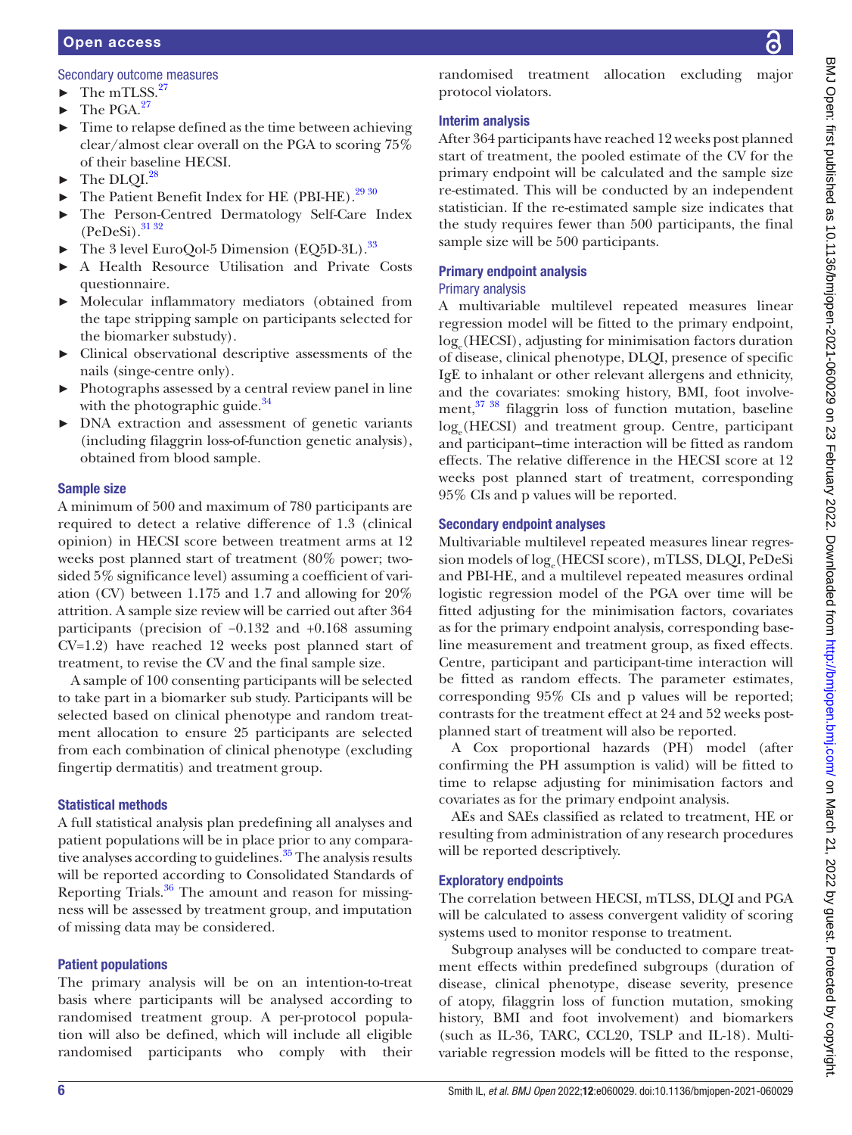#### Secondary outcome measures

- $\blacktriangleright$  The mTLSS.<sup>[27](#page-8-6)</sup>
- $\blacktriangleright$  The PGA.<sup>[27](#page-8-6)</sup>
- Time to relapse defined as the time between achieving clear/almost clear overall on the PGA to scoring 75% of their baseline HECSI.
- $\blacktriangleright$  The DLOI.<sup>28</sup>
- ► The Patient Benefit Index for HE (PBI-HE)[.29 30](#page-8-10)
- The Person-Centred Dermatology Self-Care Index  $(PeDeSi).$ <sup>[31 32](#page-8-11)</sup>
- The 3 level EuroQol-5 Dimension (EQ5D-3L).<sup>[33](#page-8-12)</sup>
- ► A Health Resource Utilisation and Private Costs questionnaire.
- Molecular inflammatory mediators (obtained from the tape stripping sample on participants selected for the biomarker substudy).
- ► Clinical observational descriptive assessments of the nails (singe-centre only).
- ► Photographs assessed by a central review panel in line with the photographic guide. $34$
- ► DNA extraction and assessment of genetic variants (including filaggrin loss-of-function genetic analysis), obtained from blood sample.

# Sample size

A minimum of 500 and maximum of 780 participants are required to detect a relative difference of 1.3 (clinical opinion) in HECSI score between treatment arms at 12 weeks post planned start of treatment (80% power; twosided 5% significance level) assuming a coefficient of variation (CV) between 1.175 and 1.7 and allowing for 20% attrition. A sample size review will be carried out after 364 participants (precision of −0.132 and +0.168 assuming CV=1.2) have reached 12 weeks post planned start of treatment, to revise the CV and the final sample size.

A sample of 100 consenting participants will be selected to take part in a biomarker sub study. Participants will be selected based on clinical phenotype and random treatment allocation to ensure 25 participants are selected from each combination of clinical phenotype (excluding fingertip dermatitis) and treatment group.

# Statistical methods

A full statistical analysis plan predefining all analyses and patient populations will be in place prior to any comparative analyses according to guidelines.<sup>35</sup> The analysis results will be reported according to Consolidated Standards of Reporting Trials.<sup>36</sup> The amount and reason for missingness will be assessed by treatment group, and imputation of missing data may be considered.

# Patient populations

The primary analysis will be on an intention-to-treat basis where participants will be analysed according to randomised treatment group. A per-protocol population will also be defined, which will include all eligible randomised participants who comply with their

randomised treatment allocation excluding major protocol violators.

# Interim analysis

After 364 participants have reached 12 weeks post planned start of treatment, the pooled estimate of the CV for the primary endpoint will be calculated and the sample size re-estimated. This will be conducted by an independent statistician. If the re-estimated sample size indicates that the study requires fewer than 500 participants, the final sample size will be 500 participants.

# Primary endpoint analysis

# Primary analysis

A multivariable multilevel repeated measures linear regression model will be fitted to the primary endpoint, loge (HECSI), adjusting for minimisation factors duration of disease, clinical phenotype, DLQI, presence of specific IgE to inhalant or other relevant allergens and ethnicity, and the covariates: smoking history, BMI, foot involvement[,37 38](#page-8-16) filaggrin loss of function mutation, baseline loge (HECSI) and treatment group. Centre, participant and participant–time interaction will be fitted as random effects. The relative difference in the HECSI score at 12 weeks post planned start of treatment, corresponding 95% CIs and p values will be reported.

# Secondary endpoint analyses

Multivariable multilevel repeated measures linear regression models of log<sub>e</sub>(HECSI score), mTLSS, DLQI, PeDeSi and PBI-HE, and a multilevel repeated measures ordinal logistic regression model of the PGA over time will be fitted adjusting for the minimisation factors, covariates as for the primary endpoint analysis, corresponding baseline measurement and treatment group, as fixed effects. Centre, participant and participant-time interaction will be fitted as random effects. The parameter estimates, corresponding 95% CIs and p values will be reported; contrasts for the treatment effect at 24 and 52 weeks postplanned start of treatment will also be reported.

A Cox proportional hazards (PH) model (after confirming the PH assumption is valid) will be fitted to time to relapse adjusting for minimisation factors and covariates as for the primary endpoint analysis.

AEs and SAEs classified as related to treatment, HE or resulting from administration of any research procedures will be reported descriptively.

# Exploratory endpoints

The correlation between HECSI, mTLSS, DLQI and PGA will be calculated to assess convergent validity of scoring systems used to monitor response to treatment.

Subgroup analyses will be conducted to compare treatment effects within predefined subgroups (duration of disease, clinical phenotype, disease severity, presence of atopy, filaggrin loss of function mutation, smoking history, BMI and foot involvement) and biomarkers (such as IL-36, TARC, CCL20, TSLP and IL-18). Multivariable regression models will be fitted to the response,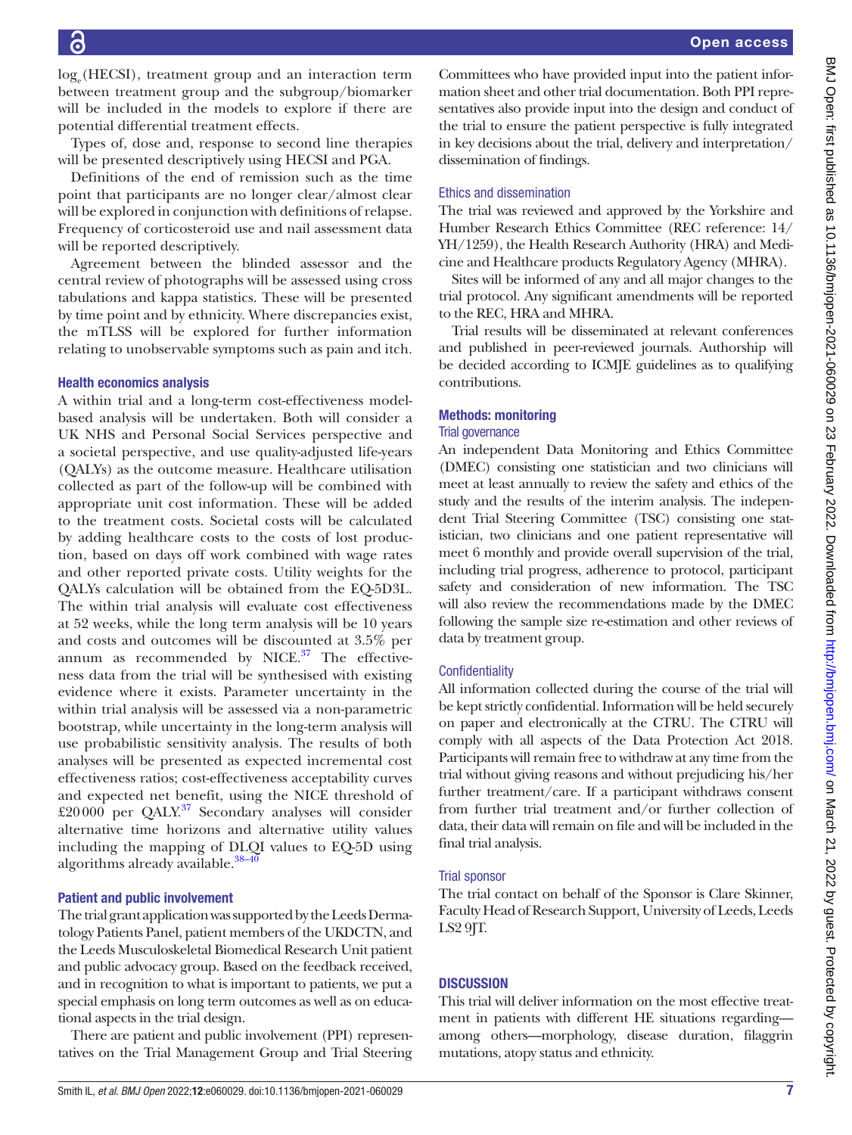loge (HECSI), treatment group and an interaction term between treatment group and the subgroup/biomarker will be included in the models to explore if there are potential differential treatment effects.

Types of, dose and, response to second line therapies will be presented descriptively using HECSI and PGA.

Definitions of the end of remission such as the time point that participants are no longer clear/almost clear will be explored in conjunction with definitions of relapse. Frequency of corticosteroid use and nail assessment data will be reported descriptively.

Agreement between the blinded assessor and the central review of photographs will be assessed using cross tabulations and kappa statistics. These will be presented by time point and by ethnicity. Where discrepancies exist, the mTLSS will be explored for further information relating to unobservable symptoms such as pain and itch.

# Health economics analysis

A within trial and a long-term cost-effectiveness modelbased analysis will be undertaken. Both will consider a UK NHS and Personal Social Services perspective and a societal perspective, and use quality-adjusted life-years (QALYs) as the outcome measure. Healthcare utilisation collected as part of the follow-up will be combined with appropriate unit cost information. These will be added to the treatment costs. Societal costs will be calculated by adding healthcare costs to the costs of lost production, based on days off work combined with wage rates and other reported private costs. Utility weights for the QALYs calculation will be obtained from the EQ-5D3L. The within trial analysis will evaluate cost effectiveness at 52 weeks, while the long term analysis will be 10 years and costs and outcomes will be discounted at 3.5% per annum as recommended by NICE. $37$  The effectiveness data from the trial will be synthesised with existing evidence where it exists. Parameter uncertainty in the within trial analysis will be assessed via a non-parametric bootstrap, while uncertainty in the long-term analysis will use probabilistic sensitivity analysis. The results of both analyses will be presented as expected incremental cost effectiveness ratios; cost-effectiveness acceptability curves and expected net benefit, using the NICE threshold of  $\text{\pounds}20000$  per QALY.<sup>37</sup> Secondary analyses will consider alternative time horizons and alternative utility values including the mapping of DLQI values to EQ-5D using algorithms already available. $38-40$ 

# Patient and public involvement

The trial grant application was supported by the Leeds Dermatology Patients Panel, patient members of the UKDCTN, and the Leeds Musculoskeletal Biomedical Research Unit patient and public advocacy group. Based on the feedback received, and in recognition to what is important to patients, we put a special emphasis on long term outcomes as well as on educational aspects in the trial design.

There are patient and public involvement (PPI) representatives on the Trial Management Group and Trial Steering

Committees who have provided input into the patient information sheet and other trial documentation. Both PPI representatives also provide input into the design and conduct of the trial to ensure the patient perspective is fully integrated in key decisions about the trial, delivery and interpretation/ dissemination of findings.

# Ethics and dissemination

The trial was reviewed and approved by the Yorkshire and Humber Research Ethics Committee (REC reference: 14/ YH/1259), the Health Research Authority (HRA) and Medicine and Healthcare products Regulatory Agency (MHRA).

Sites will be informed of any and all major changes to the trial protocol. Any significant amendments will be reported to the REC, HRA and MHRA.

Trial results will be disseminated at relevant conferences and published in peer-reviewed journals. Authorship will be decided according to ICMJE guidelines as to qualifying contributions.

# Methods: monitoring

# Trial governance

An independent Data Monitoring and Ethics Committee (DMEC) consisting one statistician and two clinicians will meet at least annually to review the safety and ethics of the study and the results of the interim analysis. The independent Trial Steering Committee (TSC) consisting one statistician, two clinicians and one patient representative will meet 6 monthly and provide overall supervision of the trial, including trial progress, adherence to protocol, participant safety and consideration of new information. The TSC will also review the recommendations made by the DMEC following the sample size re-estimation and other reviews of data by treatment group.

# **Confidentiality**

All information collected during the course of the trial will be kept strictly confidential. Information will be held securely on paper and electronically at the CTRU. The CTRU will comply with all aspects of the Data Protection Act 2018. Participants will remain free to withdraw at any time from the trial without giving reasons and without prejudicing his/her further treatment/care. If a participant withdraws consent from further trial treatment and/or further collection of data, their data will remain on file and will be included in the final trial analysis.

# Trial sponsor

The trial contact on behalf of the Sponsor is Clare Skinner, Faculty Head of Research Support, University of Leeds, Leeds LS2 9JT.

# **DISCUSSION**

This trial will deliver information on the most effective treatment in patients with different HE situations regarding among others—morphology, disease duration, filaggrin mutations, atopy status and ethnicity.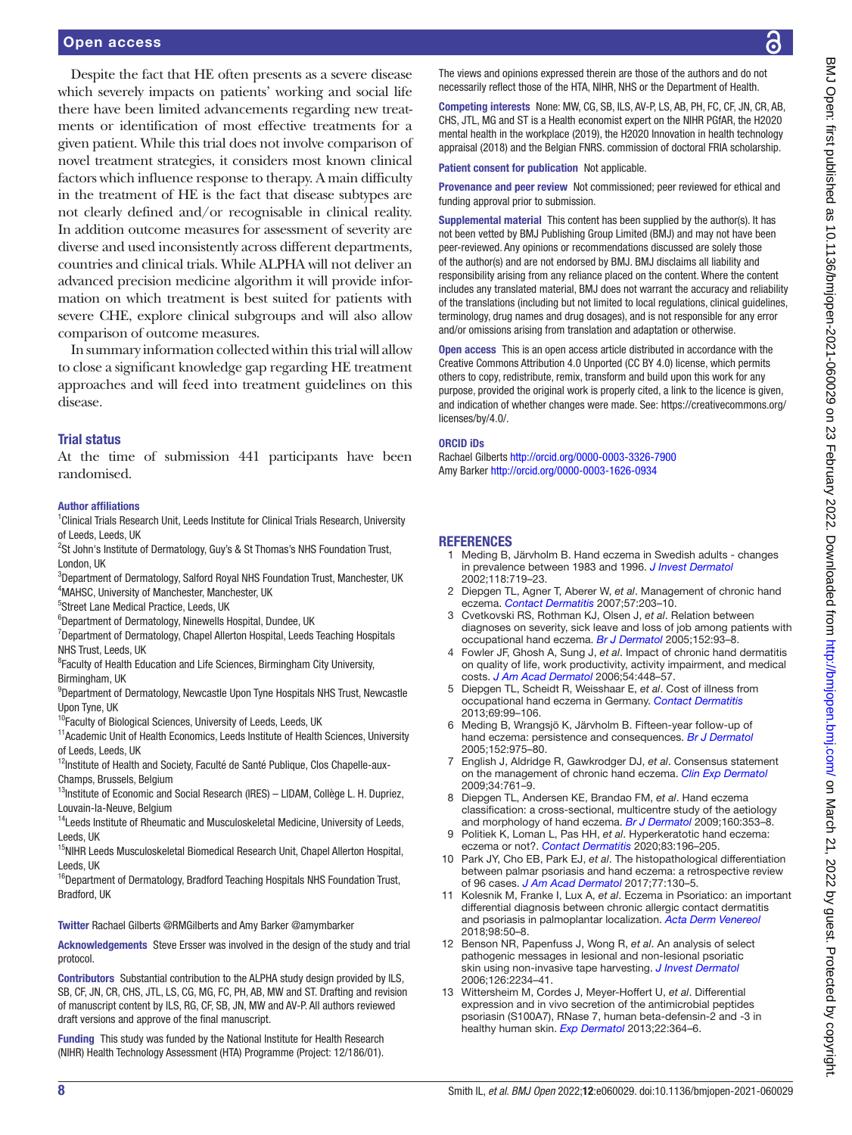Despite the fact that HE often presents as a severe disease which severely impacts on patients' working and social life there have been limited advancements regarding new treatments or identification of most effective treatments for a given patient. While this trial does not involve comparison of novel treatment strategies, it considers most known clinical factors which influence response to therapy. A main difficulty in the treatment of HE is the fact that disease subtypes are not clearly defined and/or recognisable in clinical reality. In addition outcome measures for assessment of severity are diverse and used inconsistently across different departments, countries and clinical trials. While ALPHA will not deliver an advanced precision medicine algorithm it will provide information on which treatment is best suited for patients with severe CHE, explore clinical subgroups and will also allow comparison of outcome measures.

In summary information collected within this trial will allow to close a significant knowledge gap regarding HE treatment approaches and will feed into treatment guidelines on this disease.

#### Trial status

At the time of submission 441 participants have been randomised.

#### Author affiliations

<sup>1</sup> Clinical Trials Research Unit, Leeds Institute for Clinical Trials Research, University of Leeds, Leeds, UK

- <sup>2</sup>St John's Institute of Dermatology, Guy's & St Thomas's NHS Foundation Trust, London, UK
- <sup>3</sup>Department of Dermatology, Salford Royal NHS Foundation Trust, Manchester, UK 4 MAHSC, University of Manchester, Manchester, UK
- 5 Street Lane Medical Practice, Leeds, UK
- 6 Department of Dermatology, Ninewells Hospital, Dundee, UK
- <sup>7</sup>Department of Dermatology, Chapel Allerton Hospital, Leeds Teaching Hospitals NHS Trust, Leeds, UK
- <sup>8</sup> Faculty of Health Education and Life Sciences, Birmingham City University, Birmingham, UK
- 9 Department of Dermatology, Newcastle Upon Tyne Hospitals NHS Trust, Newcastle Upon Tyne, UK
- <sup>10</sup>Faculty of Biological Sciences, University of Leeds, Leeds, UK
- <sup>11</sup> Academic Unit of Health Economics, Leeds Institute of Health Sciences, University of Leeds, Leeds, UK
- <sup>12</sup>Institute of Health and Society, Faculté de Santé Publique, Clos Chapelle-aux-Champs, Brussels, Belgium
- <sup>13</sup>Institute of Economic and Social Research (IRES) LIDAM, Collège L. H. Dupriez, Louvain-la-Neuve, Belgium
- <sup>14</sup>Leeds Institute of Rheumatic and Musculoskeletal Medicine, University of Leeds, Leeds, UK
- <sup>15</sup>NIHR Leeds Musculoskeletal Biomedical Research Unit, Chapel Allerton Hospital, Leeds, UK
- <sup>16</sup>Department of Dermatology, Bradford Teaching Hospitals NHS Foundation Trust, Bradford, UK
- Twitter Rachael Gilberts [@RMGilberts](https://twitter.com/RMGilberts) and Amy Barker [@amymbarker](https://twitter.com/amymbarker)
- Acknowledgements Steve Ersser was involved in the design of the study and trial protocol.
- Contributors Substantial contribution to the ALPHA study design provided by ILS, SB, CF, JN, CR, CHS, JTL, LS, CG, MG, FC, PH, AB, MW and ST. Drafting and revision of manuscript content by ILS, RG, CF, SB, JN, MW and AV-P. All authors reviewed draft versions and approve of the final manuscript.
- Funding This study was funded by the National Institute for Health Research (NIHR) Health Technology Assessment (HTA) Programme (Project: 12/186/01).

BMJ Open: first published as 10.1136/bmjopen-2021-060029 on 23 February 2022. Downloaded from http://bmjopen.bmj.com/ on March 21, 2022 by guest. Protected by copyright BMJ Open: first published as 10.1136/bmjopen-2021-060029 on 23 February 2022. Downloaded from <http://bmjopen.bmj.com/> on March 21, 2022 by guest. Protected by copyright.

The views and opinions expressed therein are those of the authors and do not necessarily reflect those of the HTA, NIHR, NHS or the Department of Health.

Competing interests None: MW, CG, SB, ILS, AV-P, LS, AB, PH, FC, CF, JN, CR, AB, CHS, JTL, MG and ST is a Health economist expert on the NIHR PGfAR, the H2020 mental health in the workplace (2019), the H2020 Innovation in health technology appraisal (2018) and the Belgian FNRS. commission of doctoral FRIA scholarship.

Patient consent for publication Not applicable.

Provenance and peer review Not commissioned; peer reviewed for ethical and funding approval prior to submission.

Supplemental material This content has been supplied by the author(s). It has not been vetted by BMJ Publishing Group Limited (BMJ) and may not have been peer-reviewed. Any opinions or recommendations discussed are solely those of the author(s) and are not endorsed by BMJ. BMJ disclaims all liability and responsibility arising from any reliance placed on the content. Where the content includes any translated material, BMJ does not warrant the accuracy and reliability of the translations (including but not limited to local regulations, clinical guidelines, terminology, drug names and drug dosages), and is not responsible for any error and/or omissions arising from translation and adaptation or otherwise.

Open access This is an open access article distributed in accordance with the Creative Commons Attribution 4.0 Unported (CC BY 4.0) license, which permits others to copy, redistribute, remix, transform and build upon this work for any purpose, provided the original work is properly cited, a link to the licence is given, and indication of whether changes were made. See: [https://creativecommons.org/](https://creativecommons.org/licenses/by/4.0/) [licenses/by/4.0/](https://creativecommons.org/licenses/by/4.0/).

#### ORCID iDs

Rachael Gilberts <http://orcid.org/0000-0003-3326-7900> Amy Barker<http://orcid.org/0000-0003-1626-0934>

#### **REFERENCES**

- <span id="page-7-0"></span>1 Meding B, Järvholm B. Hand eczema in Swedish adults - changes in prevalence between 1983 and 1996. *[J Invest Dermatol](http://dx.doi.org/10.1046/j.1523-1747.2002.01718.x)* 2002;118:719–23.
- <span id="page-7-1"></span>2 Diepgen TL, Agner T, Aberer W, *et al*. Management of chronic hand eczema. *[Contact Dermatitis](http://dx.doi.org/10.1111/j.1600-0536.2007.01179.x)* 2007;57:203–10.
- <span id="page-7-2"></span>3 Cvetkovski RS, Rothman KJ, Olsen J, *et al*. Relation between diagnoses on severity, sick leave and loss of job among patients with occupational hand eczema. *[Br J Dermatol](http://dx.doi.org/10.1111/j.1365-2133.2005.06415.x)* 2005;152:93–8.
- 4 Fowler JF, Ghosh A, Sung J, *et al*. Impact of chronic hand dermatitis on quality of life, work productivity, activity impairment, and medical costs. *[J Am Acad Dermatol](http://dx.doi.org/10.1016/j.jaad.2005.11.1053)* 2006;54:448–57.
- <span id="page-7-3"></span>5 Diepgen TL, Scheidt R, Weisshaar E, *et al*. Cost of illness from occupational hand eczema in Germany. *[Contact Dermatitis](http://dx.doi.org/10.1111/cod.12038)* 2013;69:99–106.
- <span id="page-7-4"></span>6 Meding B, Wrangsjö K, Järvholm B. Fifteen-year follow-up of hand eczema: persistence and consequences. *[Br J Dermatol](http://dx.doi.org/10.1111/j.1365-2133.2005.06494.x)* 2005;152:975–80.
- <span id="page-7-5"></span>7 English J, Aldridge R, Gawkrodger DJ, *et al*. Consensus statement on the management of chronic hand eczema. *[Clin Exp Dermatol](http://dx.doi.org/10.1111/j.1365-2230.2009.03649.x)* 2009;34:761–9.
- <span id="page-7-6"></span>8 Diepgen TL, Andersen KE, Brandao FM, *et al*. Hand eczema classification: a cross-sectional, multicentre study of the aetiology and morphology of hand eczema. *[Br J Dermatol](http://dx.doi.org/10.1111/j.1365-2133.2008.08907.x)* 2009;160:353–8.
- <span id="page-7-7"></span>9 Politiek K, Loman L, Pas HH, *et al*. Hyperkeratotic hand eczema: eczema or not?. *[Contact Dermatitis](http://dx.doi.org/10.1111/cod.13572)* 2020;83:196–205.
- 10 Park JY, Cho EB, Park EJ, *et al*. The histopathological differentiation between palmar psoriasis and hand eczema: a retrospective review of 96 cases. *[J Am Acad Dermatol](http://dx.doi.org/10.1016/j.jaad.2017.01.005)* 2017;77:130–5.
- <span id="page-7-8"></span>11 Kolesnik M, Franke I, Lux A, *et al*. Eczema in Psoriatico: an important differential diagnosis between chronic allergic contact dermatitis and psoriasis in palmoplantar localization. *[Acta Derm Venereol](http://dx.doi.org/10.2340/00015555-2779)* 2018;98:50–8.
- <span id="page-7-9"></span>12 Benson NR, Papenfuss J, Wong R, *et al*. An analysis of select pathogenic messages in lesional and non-lesional psoriatic skin using non-invasive tape harvesting. *[J Invest Dermatol](http://dx.doi.org/10.1038/sj.jid.5700412)* 2006;126:2234–41.
- <span id="page-7-10"></span>13 Wittersheim M, Cordes J, Meyer-Hoffert U, *et al*. Differential expression and in vivo secretion of the antimicrobial peptides psoriasin (S100A7), RNase 7, human beta-defensin-2 and -3 in healthy human skin. *[Exp Dermatol](http://dx.doi.org/10.1111/exd.12133)* 2013;22:364–6.